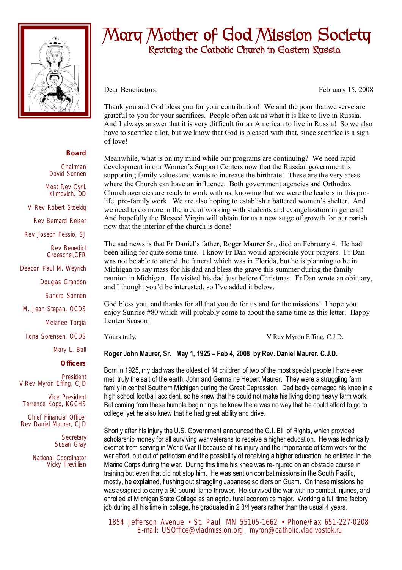

## **Mary Mother of God Mission Society Reviving the Catholic Church in Eastern Russia**

Dear Benefactors, February 15, 2008

Thank you and God bless you for your contribution! We and the poor that we serve are grateful to you for your sacrifices. People often ask us what it is like to live in Russia. And I always answer that it is very difficult for an American to live in Russia! So we also have to sacrifice a lot, but we know that God is pleased with that, since sacrifice is a sign of love!

Meanwhile, what is on my mind while our programs are continuing? We need rapid development in our Women's Support Centers now that the Russian government is supporting family values and wants to increase the birthrate! These are the very areas where the Church can have an influence. Both government agencies and Orthodox Church agencies are ready to work with us, knowing that we were the leaders in this prolife, pro-family work. We are also hoping to establish a battered women's shelter. And we need to do more in the area of working with students and evangelization in general! And hopefully the Blessed Virgin will obtain for us a new stage of growth for our parish now that the interior of the church is done!

The sad news is that Fr Daniel's father, Roger Maurer Sr., died on February 4. He had been ailing for quite some time. I know Fr Dan would appreciate your prayers. Fr Dan was not be able to attend the funeral which was in Florida, but he is planning to be in Michigan to say mass for his dad and bless the grave this summer during the family reunion in Michigan. He visited his dad just before Christmas. Fr Dan wrote an obituary, and I thought you'd be interested, so I've added it below.

God bless you, and thanks for all that you do for us and for the missions! I hope you enjoy Sunrise #80 which will probably come to about the same time as this letter. Happy Lenten Season!

Yours truly,  $V$  Rev Myron Effing, C.J.D.

**Roger John Maurer, Sr. May 1, 1925 – Feb 4, 2008 by Rev. Daniel Maurer. C.J.D.** 

Born in 1925, my dad was the oldest of 14 children of two of the most special people I have ever met, truly the salt of the earth, John and Germaine Hebert Maurer. They were a struggling farm family in central Southern Michigan during the Great Depression. Dad badly damaged his knee in a high school football accident, so he knew that he could not make his living doing heavy farm work. But coming from these humble beginnings he knew there was no way that he could afford to go to college, yet he also knew that he had great ability and drive.

Shortly after his injury the U.S. Government announced the G.I. Bill of Rights, which provided scholarship money for all surviving war veterans to receive a higher education. He was technically exempt from serving in World War II because of his injury and the importance of farm work for the war effort, but out of patriotism and the possibility of receiving a higher education, he enlisted in the Marine Corps during the war. During this time his knee was re-injured on an obstacle course in training but even that did not stop him. He was sent on combat missions in the South Pacific, mostly, he explained, flushing out straggling Japanese soldiers on Guam. On these missions he was assigned to carry a 90-pound flame thrower. He survived the war with no combat injuries, and enrolled at Michigan State College as an agricultural economics major. Working a full time factory job during all his time in college, he graduated in 2 3/4 years rather than the usual 4 years.

 1854 Jefferson Avenue • St. Paul, MN 55105-1662 • Phone/Fax 651-227-0208 E-mail: [USOffice@vladmission.org](mailto:USOffice@vladmission.org) [myron@catholic.vladivostok.ru](mailto:myron@catholic.vladivostok.ru)

## **Board**

Chairman David Sonnen

Most Rev Cyril. Klimovich, DD

V Rev Robert Stoekig

Rev Bernard Reiser

Rev Joseph Fessio, SJ

Rev Benedict Groeschel,CFR

Deacon Paul M. Weyrich

Douglas Grandon

Sandra Sonnen

M. Jean Stepan, OCDS

Melanee Targia

Ilona Sorensen, OCDS

Mary L. Ball

**Officers**

President V.Rev Myron Effing, CJD

Vice President Terrence Kopp, KGCHS

Chief Financial Officer Rev Daniel Maurer, CJD

> **Secretary** Susan Gray

National Coordinator Vicky Trevillian